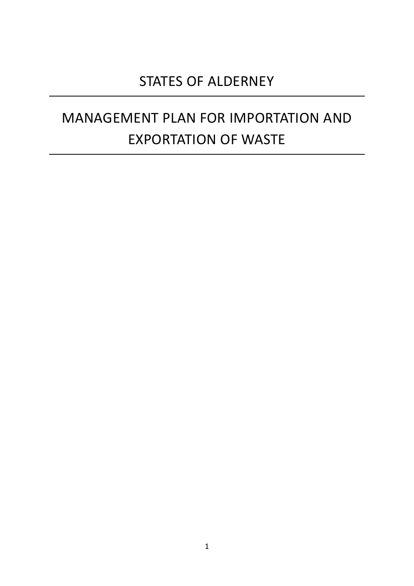# STATES OF ALDERNEY

# MANAGEMENT PLAN FOR IMPORTATION AND EXPORTATION OF WASTE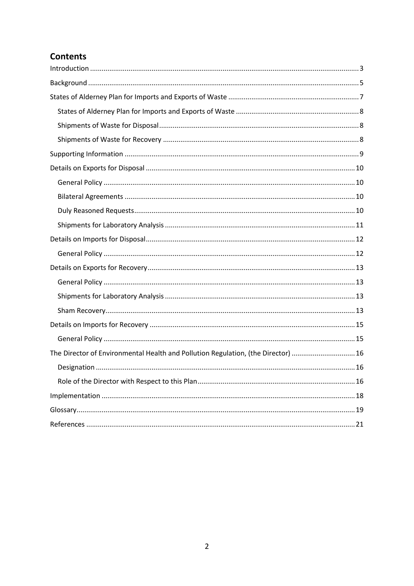# **Contents**

| The Director of Environmental Health and Pollution Regulation, (the Director)  16 |  |
|-----------------------------------------------------------------------------------|--|
|                                                                                   |  |
|                                                                                   |  |
|                                                                                   |  |
|                                                                                   |  |
|                                                                                   |  |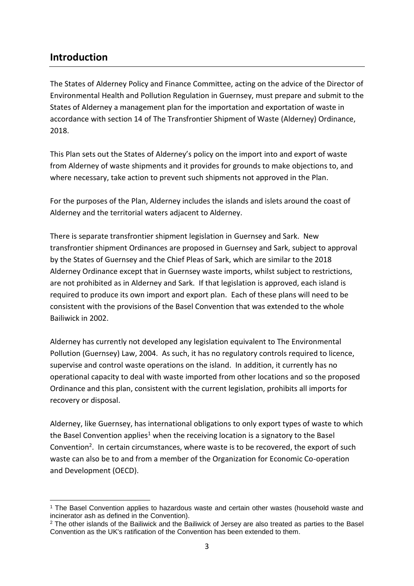### <span id="page-2-0"></span>**Introduction**

The States of Alderney Policy and Finance Committee, acting on the advice of the Director of Environmental Health and Pollution Regulation in Guernsey, must prepare and submit to the States of Alderney a management plan for the importation and exportation of waste in accordance with section 14 of The Transfrontier Shipment of Waste (Alderney) Ordinance, 2018.

This Plan sets out the States of Alderney's policy on the import into and export of waste from Alderney of waste shipments and it provides for grounds to make objections to, and where necessary, take action to prevent such shipments not approved in the Plan.

For the purposes of the Plan, Alderney includes the islands and islets around the coast of Alderney and the territorial waters adjacent to Alderney.

There is separate transfrontier shipment legislation in Guernsey and Sark. New transfrontier shipment Ordinances are proposed in Guernsey and Sark, subject to approval by the States of Guernsey and the Chief Pleas of Sark, which are similar to the 2018 Alderney Ordinance except that in Guernsey waste imports, whilst subject to restrictions, are not prohibited as in Alderney and Sark. If that legislation is approved, each island is required to produce its own import and export plan. Each of these plans will need to be consistent with the provisions of the Basel Convention that was extended to the whole Bailiwick in 2002.

Alderney has currently not developed any legislation equivalent to The Environmental Pollution (Guernsey) Law, 2004. As such, it has no regulatory controls required to licence, supervise and control waste operations on the island. In addition, it currently has no operational capacity to deal with waste imported from other locations and so the proposed Ordinance and this plan, consistent with the current legislation, prohibits all imports for recovery or disposal.

Alderney, like Guernsey, has international obligations to only export types of waste to which the Basel Convention applies<sup>1</sup> when the receiving location is a signatory to the Basel Convention<sup>2</sup>. In certain circumstances, where waste is to be recovered, the export of such waste can also be to and from a member of the Organization for Economic Co-operation and Development (OECD).

<sup>1</sup> <sup>1</sup> The Basel Convention applies to hazardous waste and certain other wastes (household waste and incinerator ash as defined in the Convention).

<sup>&</sup>lt;sup>2</sup> The other islands of the Bailiwick and the Bailiwick of Jersey are also treated as parties to the Basel Convention as the UK's ratification of the Convention has been extended to them.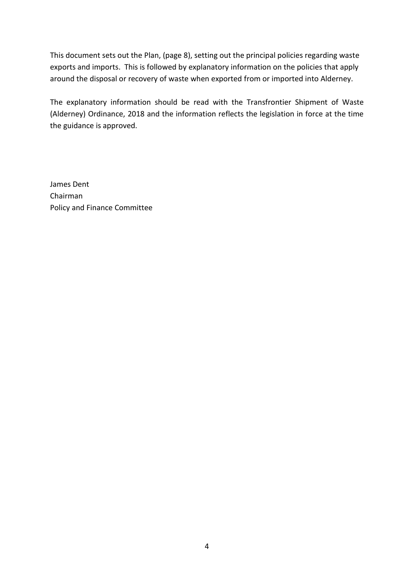This document sets out the Plan, (page 8), setting out the principal policies regarding waste exports and imports. This is followed by explanatory information on the policies that apply around the disposal or recovery of waste when exported from or imported into Alderney.

The explanatory information should be read with the Transfrontier Shipment of Waste (Alderney) Ordinance, 2018 and the information reflects the legislation in force at the time the guidance is approved.

James Dent Chairman Policy and Finance Committee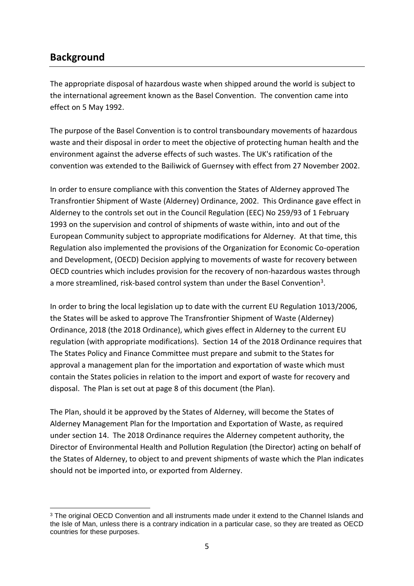# <span id="page-4-0"></span>**Background**

The appropriate disposal of hazardous waste when shipped around the world is subject to the international agreement known as the Basel Convention. The convention came into effect on 5 May 1992.

The purpose of the Basel Convention is to control transboundary movements of hazardous waste and their disposal in order to meet the objective of protecting human health and the environment against the adverse effects of such wastes. The UK's ratification of the convention was extended to the Bailiwick of Guernsey with effect from 27 November 2002.

In order to ensure compliance with this convention the States of Alderney approved The Transfrontier Shipment of Waste (Alderney) Ordinance, 2002. This Ordinance gave effect in Alderney to the controls set out in the Council Regulation (EEC) No 259/93 of 1 February 1993 on the supervision and control of shipments of waste within, into and out of the European Community subject to appropriate modifications for Alderney. At that time, this Regulation also implemented the provisions of the Organization for Economic Co-operation and Development, (OECD) Decision applying to movements of waste for recovery between OECD countries which includes provision for the recovery of non-hazardous wastes through a more streamlined, risk-based control system than under the Basel Convention<sup>3</sup>.

In order to bring the local legislation up to date with the current EU Regulation 1013/2006, the States will be asked to approve The Transfrontier Shipment of Waste (Alderney) Ordinance, 2018 (the 2018 Ordinance), which gives effect in Alderney to the current EU regulation (with appropriate modifications). Section 14 of the 2018 Ordinance requires that The States Policy and Finance Committee must prepare and submit to the States for approval a management plan for the importation and exportation of waste which must contain the States policies in relation to the import and export of waste for recovery and disposal. The Plan is set out at page 8 of this document (the Plan).

The Plan, should it be approved by the States of Alderney, will become the States of Alderney Management Plan for the Importation and Exportation of Waste, as required under section 14. The 2018 Ordinance requires the Alderney competent authority, the Director of Environmental Health and Pollution Regulation (the Director) acting on behalf of the States of Alderney, to object to and prevent shipments of waste which the Plan indicates should not be imported into, or exported from Alderney.

<sup>1</sup> <sup>3</sup> The original OECD Convention and all instruments made under it extend to the Channel Islands and the Isle of Man, unless there is a contrary indication in a particular case, so they are treated as OECD countries for these purposes.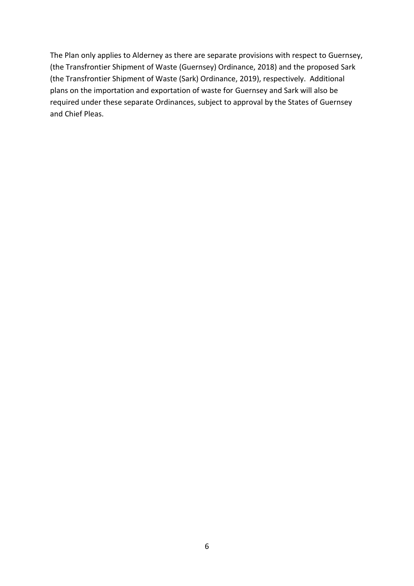The Plan only applies to Alderney as there are separate provisions with respect to Guernsey, (the Transfrontier Shipment of Waste (Guernsey) Ordinance, 2018) and the proposed Sark (the Transfrontier Shipment of Waste (Sark) Ordinance, 2019), respectively. Additional plans on the importation and exportation of waste for Guernsey and Sark will also be required under these separate Ordinances, subject to approval by the States of Guernsey and Chief Pleas.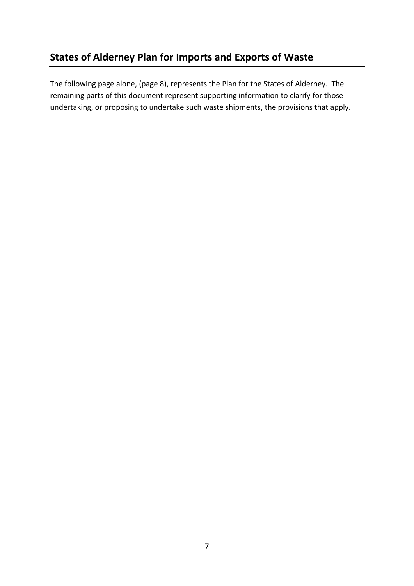# <span id="page-6-0"></span>**States of Alderney Plan for Imports and Exports of Waste**

The following page alone, (page 8), represents the Plan for the States of Alderney. The remaining parts of this document represent supporting information to clarify for those undertaking, or proposing to undertake such waste shipments, the provisions that apply.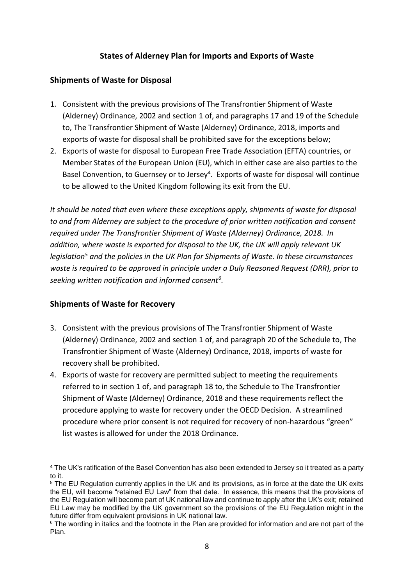#### **States of Alderney Plan for Imports and Exports of Waste**

#### <span id="page-7-1"></span><span id="page-7-0"></span>**Shipments of Waste for Disposal**

- 1. Consistent with the previous provisions of The Transfrontier Shipment of Waste (Alderney) Ordinance, 2002 and section 1 of, and paragraphs 17 and 19 of the Schedule to, The Transfrontier Shipment of Waste (Alderney) Ordinance, 2018, imports and exports of waste for disposal shall be prohibited save for the exceptions below;
- 2. Exports of waste for disposal to European Free Trade Association (EFTA) countries, or Member States of the European Union (EU), which in either case are also parties to the Basel Convention, to Guernsey or to Jersey<sup>4</sup>. Exports of waste for disposal will continue to be allowed to the United Kingdom following its exit from the EU.

*It should be noted that even where these exceptions apply, shipments of waste for disposal to and from Alderney are subject to the procedure of prior written notification and consent required under The Transfrontier Shipment of Waste (Alderney) Ordinance, 2018. In addition, where waste is exported for disposal to the UK, the UK will apply relevant UK legislation<sup>5</sup> and the policies in the UK Plan for Shipments of Waste. In these circumstances waste is required to be approved in principle under a Duly Reasoned Request (DRR), prior to seeking written notification and informed consent<sup>6</sup> .*

#### <span id="page-7-2"></span>**Shipments of Waste for Recovery**

- 3. Consistent with the previous provisions of The Transfrontier Shipment of Waste (Alderney) Ordinance, 2002 and section 1 of, and paragraph 20 of the Schedule to, The Transfrontier Shipment of Waste (Alderney) Ordinance, 2018, imports of waste for recovery shall be prohibited.
- 4. Exports of waste for recovery are permitted subject to meeting the requirements referred to in section 1 of, and paragraph 18 to, the Schedule to The Transfrontier Shipment of Waste (Alderney) Ordinance, 2018 and these requirements reflect the procedure applying to waste for recovery under the OECD Decision. A streamlined procedure where prior consent is not required for recovery of non-hazardous "green" list wastes is allowed for under the 2018 Ordinance.

<sup>1</sup> <sup>4</sup> The UK's ratification of the Basel Convention has also been extended to Jersey so it treated as a party to it.

<sup>&</sup>lt;sup>5</sup> The EU Regulation currently applies in the UK and its provisions, as in force at the date the UK exits the EU, will become "retained EU Law" from that date. In essence, this means that the provisions of the EU Regulation will become part of UK national law and continue to apply after the UK's exit; retained EU Law may be modified by the UK government so the provisions of the EU Regulation might in the future differ from equivalent provisions in UK national law.

<sup>&</sup>lt;sup>6</sup> The wording in italics and the footnote in the Plan are provided for information and are not part of the Plan.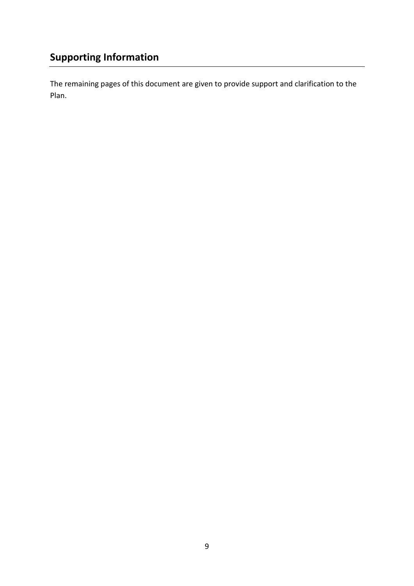<span id="page-8-0"></span>The remaining pages of this document are given to provide support and clarification to the Plan.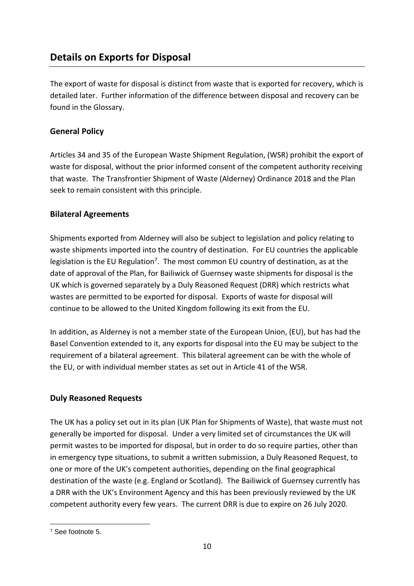# <span id="page-9-0"></span>**Details on Exports for Disposal**

The export of waste for disposal is distinct from waste that is exported for recovery, which is detailed later. Further information of the difference between disposal and recovery can be found in the Glossary.

#### <span id="page-9-1"></span>**General Policy**

Articles 34 and 35 of the European Waste Shipment Regulation, (WSR) prohibit the export of waste for disposal, without the prior informed consent of the competent authority receiving that waste. The Transfrontier Shipment of Waste (Alderney) Ordinance 2018 and the Plan seek to remain consistent with this principle.

#### <span id="page-9-2"></span>**Bilateral Agreements**

Shipments exported from Alderney will also be subject to legislation and policy relating to waste shipments imported into the country of destination. For EU countries the applicable legislation is the EU Regulation<sup>7</sup>. The most common EU country of destination, as at the date of approval of the Plan, for Bailiwick of Guernsey waste shipments for disposal is the UK which is governed separately by a Duly Reasoned Request (DRR) which restricts what wastes are permitted to be exported for disposal. Exports of waste for disposal will continue to be allowed to the United Kingdom following its exit from the EU.

In addition, as Alderney is not a member state of the European Union, (EU), but has had the Basel Convention extended to it, any exports for disposal into the EU may be subject to the requirement of a bilateral agreement. This bilateral agreement can be with the whole of the EU, or with individual member states as set out in Article 41 of the WSR.

#### <span id="page-9-3"></span>**Duly Reasoned Requests**

The UK has a policy set out in its plan (UK Plan for Shipments of Waste), that waste must not generally be imported for disposal. Under a very limited set of circumstances the UK will permit wastes to be imported for disposal, but in order to do so require parties, other than in emergency type situations, to submit a written submission, a Duly Reasoned Request, to one or more of the UK's competent authorities, depending on the final geographical destination of the waste (e.g. England or Scotland). The Bailiwick of Guernsey currently has a DRR with the UK's Environment Agency and this has been previously reviewed by the UK competent authority every few years. The current DRR is due to expire on 26 July 2020.

<sup>1</sup> <sup>7</sup> See footnote 5.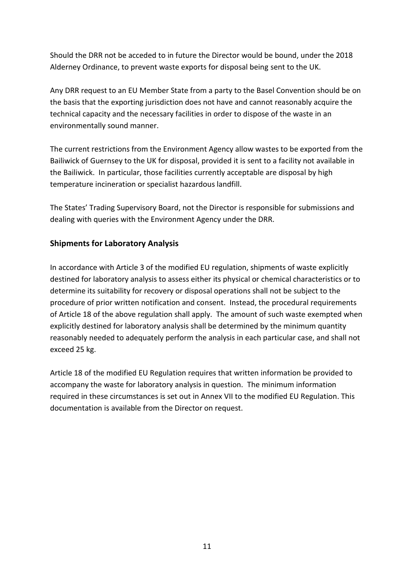Should the DRR not be acceded to in future the Director would be bound, under the 2018 Alderney Ordinance, to prevent waste exports for disposal being sent to the UK.

Any DRR request to an EU Member State from a party to the Basel Convention should be on the basis that the exporting jurisdiction does not have and cannot reasonably acquire the technical capacity and the necessary facilities in order to dispose of the waste in an environmentally sound manner.

The current restrictions from the Environment Agency allow wastes to be exported from the Bailiwick of Guernsey to the UK for disposal, provided it is sent to a facility not available in the Bailiwick. In particular, those facilities currently acceptable are disposal by high temperature incineration or specialist hazardous landfill.

The States' Trading Supervisory Board, not the Director is responsible for submissions and dealing with queries with the Environment Agency under the DRR.

#### <span id="page-10-0"></span>**Shipments for Laboratory Analysis**

In accordance with Article 3 of the modified EU regulation, shipments of waste explicitly destined for laboratory analysis to assess either its physical or chemical characteristics or to determine its suitability for recovery or disposal operations shall not be subject to the procedure of prior written notification and consent. Instead, the procedural requirements of Article 18 of the above regulation shall apply. The amount of such waste exempted when explicitly destined for laboratory analysis shall be determined by the minimum quantity reasonably needed to adequately perform the analysis in each particular case, and shall not exceed 25 kg.

Article 18 of the modified EU Regulation requires that written information be provided to accompany the waste for laboratory analysis in question. The minimum information required in these circumstances is set out in Annex VII to the modified EU Regulation. This documentation is available from the Director on request.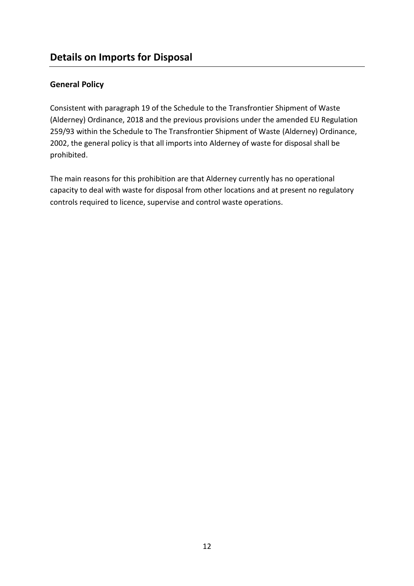#### <span id="page-11-1"></span><span id="page-11-0"></span>**General Policy**

Consistent with paragraph 19 of the Schedule to the Transfrontier Shipment of Waste (Alderney) Ordinance, 2018 and the previous provisions under the amended EU Regulation 259/93 within the Schedule to The Transfrontier Shipment of Waste (Alderney) Ordinance, 2002, the general policy is that all imports into Alderney of waste for disposal shall be prohibited.

The main reasons for this prohibition are that Alderney currently has no operational capacity to deal with waste for disposal from other locations and at present no regulatory controls required to licence, supervise and control waste operations.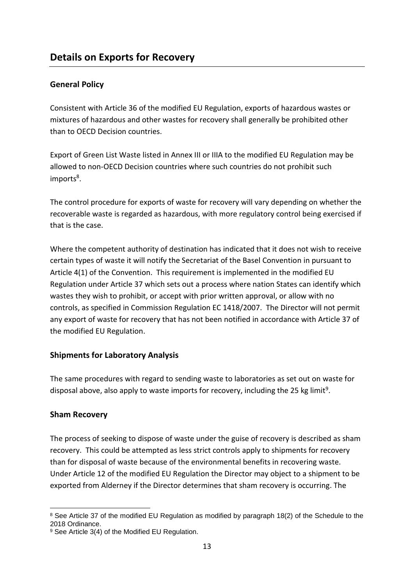#### <span id="page-12-1"></span><span id="page-12-0"></span>**General Policy**

Consistent with Article 36 of the modified EU Regulation, exports of hazardous wastes or mixtures of hazardous and other wastes for recovery shall generally be prohibited other than to OECD Decision countries.

Export of Green List Waste listed in Annex III or IIIA to the modified EU Regulation may be allowed to non-OECD Decision countries where such countries do not prohibit such imports<sup>8</sup>.

The control procedure for exports of waste for recovery will vary depending on whether the recoverable waste is regarded as hazardous, with more regulatory control being exercised if that is the case.

Where the competent authority of destination has indicated that it does not wish to receive certain types of waste it will notify the Secretariat of the Basel Convention in pursuant to Article 4(1) of the Convention. This requirement is implemented in the modified EU Regulation under Article 37 which sets out a process where nation States can identify which wastes they wish to prohibit, or accept with prior written approval, or allow with no controls, as specified in Commission Regulation EC 1418/2007. The Director will not permit any export of waste for recovery that has not been notified in accordance with Article 37 of the modified EU Regulation.

#### <span id="page-12-2"></span>**Shipments for Laboratory Analysis**

The same procedures with regard to sending waste to laboratories as set out on waste for disposal above, also apply to waste imports for recovery, including the 25 kg limit<sup>9</sup>.

#### <span id="page-12-3"></span>**Sham Recovery**

The process of seeking to dispose of waste under the guise of recovery is described as sham recovery. This could be attempted as less strict controls apply to shipments for recovery than for disposal of waste because of the environmental benefits in recovering waste. Under Article 12 of the modified EU Regulation the Director may object to a shipment to be exported from Alderney if the Director determines that sham recovery is occurring. The

<sup>1</sup> <sup>8</sup> See Article 37 of the modified EU Regulation as modified by paragraph 18(2) of the Schedule to the 2018 Ordinance.

<sup>9</sup> See Article 3(4) of the Modified EU Regulation.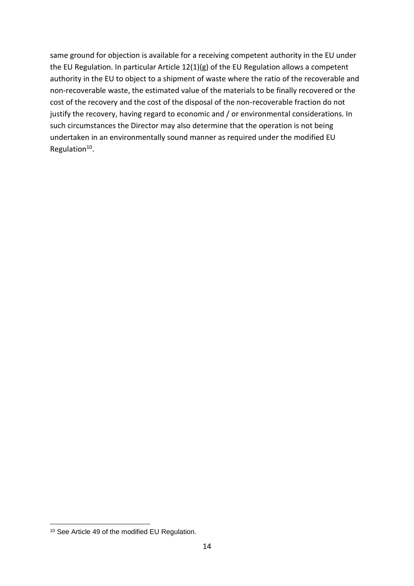same ground for objection is available for a receiving competent authority in the EU under the EU Regulation. In particular Article 12(1)(g) of the EU Regulation allows a competent authority in the EU to object to a shipment of waste where the ratio of the recoverable and non-recoverable waste, the estimated value of the materials to be finally recovered or the cost of the recovery and the cost of the disposal of the non-recoverable fraction do not justify the recovery, having regard to economic and / or environmental considerations. In such circumstances the Director may also determine that the operation is not being undertaken in an environmentally sound manner as required under the modified EU Regulation<sup>10</sup>.

1

<sup>10</sup> See Article 49 of the modified EU Regulation.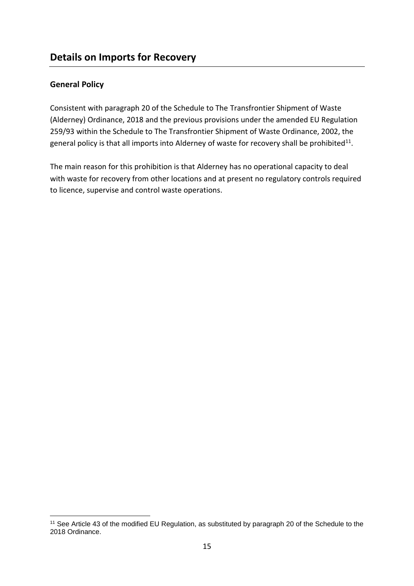#### <span id="page-14-1"></span><span id="page-14-0"></span>**General Policy**

1

Consistent with paragraph 20 of the Schedule to The Transfrontier Shipment of Waste (Alderney) Ordinance, 2018 and the previous provisions under the amended EU Regulation 259/93 within the Schedule to The Transfrontier Shipment of Waste Ordinance, 2002, the general policy is that all imports into Alderney of waste for recovery shall be prohibited<sup>11</sup>.

The main reason for this prohibition is that Alderney has no operational capacity to deal with waste for recovery from other locations and at present no regulatory controls required to licence, supervise and control waste operations.

<sup>11</sup> See Article 43 of the modified EU Regulation, as substituted by paragraph 20 of the Schedule to the 2018 Ordinance.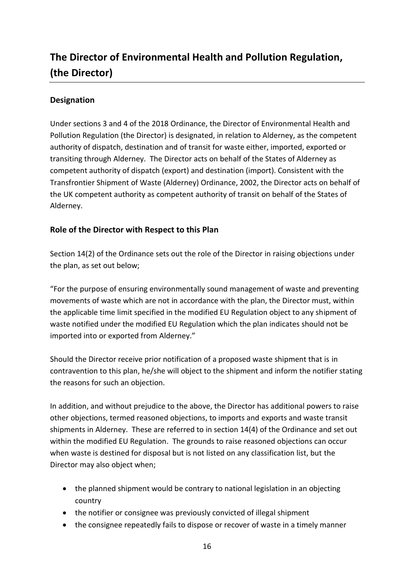# <span id="page-15-0"></span>**The Director of Environmental Health and Pollution Regulation, (the Director)**

#### <span id="page-15-1"></span>**Designation**

Under sections 3 and 4 of the 2018 Ordinance, the Director of Environmental Health and Pollution Regulation (the Director) is designated, in relation to Alderney, as the competent authority of dispatch, destination and of transit for waste either, imported, exported or transiting through Alderney. The Director acts on behalf of the States of Alderney as competent authority of dispatch (export) and destination (import). Consistent with the Transfrontier Shipment of Waste (Alderney) Ordinance, 2002, the Director acts on behalf of the UK competent authority as competent authority of transit on behalf of the States of Alderney.

#### <span id="page-15-2"></span>**Role of the Director with Respect to this Plan**

Section 14(2) of the Ordinance sets out the role of the Director in raising objections under the plan, as set out below;

"For the purpose of ensuring environmentally sound management of waste and preventing movements of waste which are not in accordance with the plan, the Director must, within the applicable time limit specified in the modified EU Regulation object to any shipment of waste notified under the modified EU Regulation which the plan indicates should not be imported into or exported from Alderney."

Should the Director receive prior notification of a proposed waste shipment that is in contravention to this plan, he/she will object to the shipment and inform the notifier stating the reasons for such an objection.

In addition, and without prejudice to the above, the Director has additional powers to raise other objections, termed reasoned objections, to imports and exports and waste transit shipments in Alderney. These are referred to in section 14(4) of the Ordinance and set out within the modified EU Regulation. The grounds to raise reasoned objections can occur when waste is destined for disposal but is not listed on any classification list, but the Director may also object when;

- the planned shipment would be contrary to national legislation in an objecting country
- the notifier or consignee was previously convicted of illegal shipment
- the consignee repeatedly fails to dispose or recover of waste in a timely manner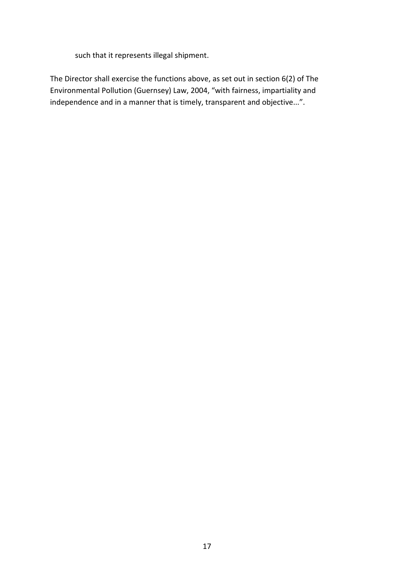such that it represents illegal shipment.

The Director shall exercise the functions above, as set out in section 6(2) of The Environmental Pollution (Guernsey) Law, 2004, "with fairness, impartiality and independence and in a manner that is timely, transparent and objective...".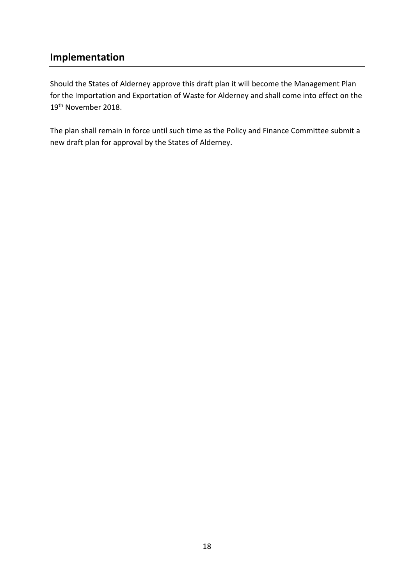# <span id="page-17-0"></span>**Implementation**

Should the States of Alderney approve this draft plan it will become the Management Plan for the Importation and Exportation of Waste for Alderney and shall come into effect on the 19th November 2018.

The plan shall remain in force until such time as the Policy and Finance Committee submit a new draft plan for approval by the States of Alderney.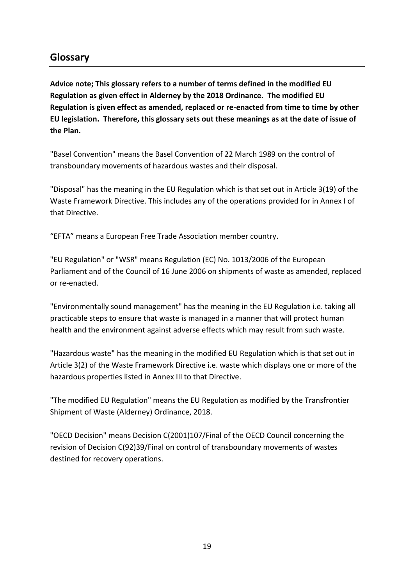# <span id="page-18-0"></span>**Glossary**

**Advice note; This glossary refers to a number of terms defined in the modified EU Regulation as given effect in Alderney by the 2018 Ordinance. The modified EU Regulation is given effect as amended, replaced or re-enacted from time to time by other EU legislation. Therefore, this glossary sets out these meanings as at the date of issue of the Plan.** 

"Basel Convention" means the Basel Convention of 22 March 1989 on the control of transboundary movements of hazardous wastes and their disposal.

"Disposal" has the meaning in the EU Regulation which is that set out in Article 3(19) of the Waste Framework Directive. This includes any of the operations provided for in Annex I of that Directive.

"EFTA" means a European Free Trade Association member country.

"EU Regulation" or "WSR" means Regulation (EC) No. 1013/2006 of the European Parliament and of the Council of 16 June 2006 on shipments of waste as amended, replaced or re-enacted.

"Environmentally sound management" has the meaning in the EU Regulation i.e. taking all practicable steps to ensure that waste is managed in a manner that will protect human health and the environment against adverse effects which may result from such waste.

"Hazardous waste**"** has the meaning in the modified EU Regulation which is that set out in Article 3(2) of the Waste Framework Directive i.e. waste which displays one or more of the hazardous properties listed in Annex III to that Directive.

"The modified EU Regulation" means the EU Regulation as modified by the Transfrontier Shipment of Waste (Alderney) Ordinance, 2018.

"OECD Decision" means Decision C(2001)107/Final of the OECD Council concerning the revision of Decision C(92)39/Final on control of transboundary movements of wastes destined for recovery operations.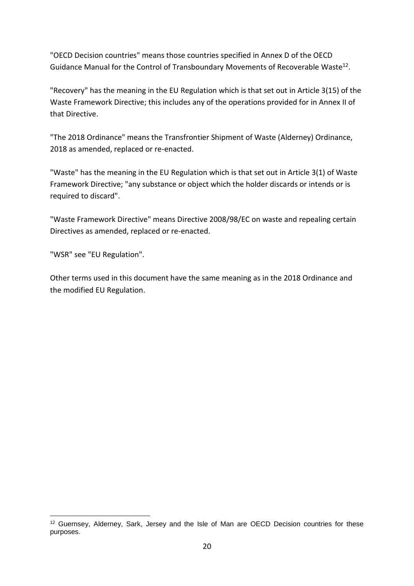"OECD Decision countries" means those countries specified in Annex D of the OECD Guidance Manual for the Control of Transboundary Movements of Recoverable Waste<sup>12</sup>.

"Recovery" has the meaning in the EU Regulation which is that set out in Article 3(15) of the Waste Framework Directive; this includes any of the operations provided for in Annex II of that Directive.

"The 2018 Ordinance" means the Transfrontier Shipment of Waste (Alderney) Ordinance, 2018 as amended, replaced or re-enacted.

"Waste" has the meaning in the EU Regulation which is that set out in Article 3(1) of Waste Framework Directive; "any substance or object which the holder discards or intends or is required to discard".

"Waste Framework Directive" means Directive 2008/98/EC on waste and repealing certain Directives as amended, replaced or re-enacted.

"WSR" see "EU Regulation".

1

Other terms used in this document have the same meaning as in the 2018 Ordinance and the modified EU Regulation.

<sup>&</sup>lt;sup>12</sup> Guernsey, Alderney, Sark, Jersey and the Isle of Man are OECD Decision countries for these purposes.